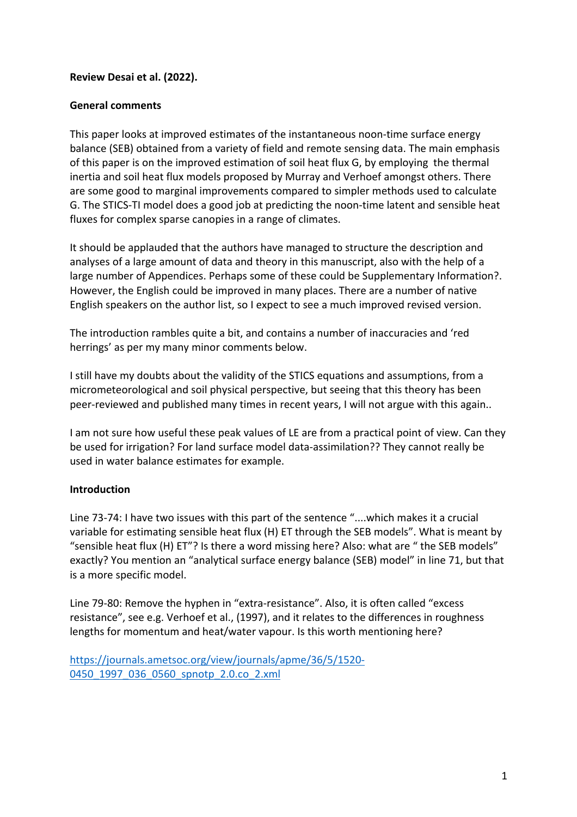## **Review Desai et al. (2022).**

#### **General comments**

This paper looks at improved estimates of the instantaneous noon-time surface energy balance (SEB) obtained from a variety of field and remote sensing data. The main emphasis of this paper is on the improved estimation of soil heat flux G, by employing the thermal inertia and soil heat flux models proposed by Murray and Verhoef amongst others. There are some good to marginal improvements compared to simpler methods used to calculate G. The STICS-TI model does a good job at predicting the noon-time latent and sensible heat fluxes for complex sparse canopies in a range of climates.

It should be applauded that the authors have managed to structure the description and analyses of a large amount of data and theory in this manuscript, also with the help of a large number of Appendices. Perhaps some of these could be Supplementary Information?. However, the English could be improved in many places. There are a number of native English speakers on the author list, so I expect to see a much improved revised version.

The introduction rambles quite a bit, and contains a number of inaccuracies and 'red herrings' as per my many minor comments below.

I still have my doubts about the validity of the STICS equations and assumptions, from a micrometeorological and soil physical perspective, but seeing that this theory has been peer-reviewed and published many times in recent years, I will not argue with this again..

I am not sure how useful these peak values of LE are from a practical point of view. Can they be used for irrigation? For land surface model data-assimilation?? They cannot really be used in water balance estimates for example.

## **Introduction**

Line 73-74: I have two issues with this part of the sentence "....which makes it a crucial variable for estimating sensible heat flux (H) ET through the SEB models". What is meant by "sensible heat flux (H) ET"? Is there a word missing here? Also: what are " the SEB models" exactly? You mention an "analytical surface energy balance (SEB) model" in line 71, but that is a more specific model.

Line 79-80: Remove the hyphen in "extra-resistance". Also, it is often called "excess resistance", see e.g. Verhoef et al., (1997), and it relates to the differences in roughness lengths for momentum and heat/water vapour. Is this worth mentioning here?

```
https://journals.ametsoc.org/view/journals/apme/36/5/1520-
0450_1997_036_0560_spnotp_2.0.co_2.xml
```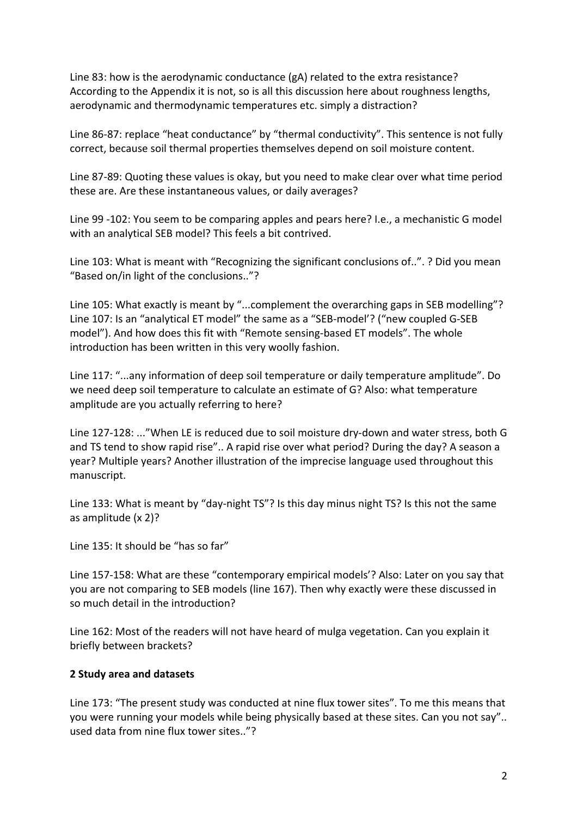Line 83: how is the aerodynamic conductance (gA) related to the extra resistance? According to the Appendix it is not, so is all this discussion here about roughness lengths, aerodynamic and thermodynamic temperatures etc. simply a distraction?

Line 86-87: replace "heat conductance" by "thermal conductivity". This sentence is not fully correct, because soil thermal properties themselves depend on soil moisture content.

Line 87-89: Quoting these values is okay, but you need to make clear over what time period these are. Are these instantaneous values, or daily averages?

Line 99 -102: You seem to be comparing apples and pears here? I.e., a mechanistic G model with an analytical SEB model? This feels a bit contrived.

Line 103: What is meant with "Recognizing the significant conclusions of..". ? Did you mean "Based on/in light of the conclusions.."?

Line 105: What exactly is meant by "...complement the overarching gaps in SEB modelling"? Line 107: Is an "analytical ET model" the same as a "SEB-model'? ("new coupled G-SEB model"). And how does this fit with "Remote sensing-based ET models". The whole introduction has been written in this very woolly fashion.

Line 117: "...any information of deep soil temperature or daily temperature amplitude". Do we need deep soil temperature to calculate an estimate of G? Also: what temperature amplitude are you actually referring to here?

Line 127-128: ..."When LE is reduced due to soil moisture dry-down and water stress, both G and TS tend to show rapid rise".. A rapid rise over what period? During the day? A season a year? Multiple years? Another illustration of the imprecise language used throughout this manuscript.

Line 133: What is meant by "day-night TS"? Is this day minus night TS? Is this not the same as amplitude (x 2)?

Line 135: It should be "has so far"

Line 157-158: What are these "contemporary empirical models'? Also: Later on you say that you are not comparing to SEB models (line 167). Then why exactly were these discussed in so much detail in the introduction?

Line 162: Most of the readers will not have heard of mulga vegetation. Can you explain it briefly between brackets?

## **2 Study area and datasets**

Line 173: "The present study was conducted at nine flux tower sites". To me this means that you were running your models while being physically based at these sites. Can you not say".. used data from nine flux tower sites.."?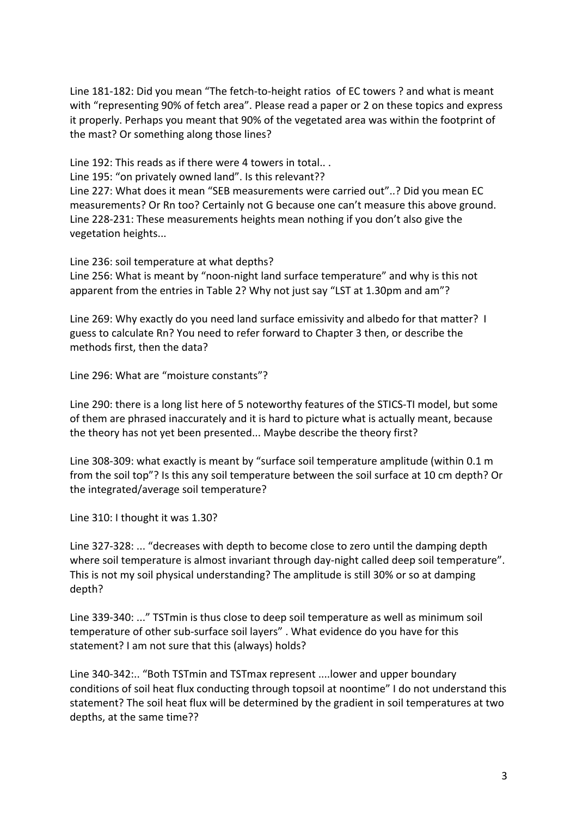Line 181-182: Did you mean "The fetch-to-height ratios of EC towers ? and what is meant with "representing 90% of fetch area". Please read a paper or 2 on these topics and express it properly. Perhaps you meant that 90% of the vegetated area was within the footprint of the mast? Or something along those lines?

Line 192: This reads as if there were 4 towers in total.. .

Line 195: "on privately owned land". Is this relevant??

Line 227: What does it mean "SEB measurements were carried out"..? Did you mean EC measurements? Or Rn too? Certainly not G because one can't measure this above ground. Line 228-231: These measurements heights mean nothing if you don't also give the vegetation heights...

Line 236: soil temperature at what depths?

Line 256: What is meant by "noon-night land surface temperature" and why is this not apparent from the entries in Table 2? Why not just say "LST at 1.30pm and am"?

Line 269: Why exactly do you need land surface emissivity and albedo for that matter? I guess to calculate Rn? You need to refer forward to Chapter 3 then, or describe the methods first, then the data?

Line 296: What are "moisture constants"?

Line 290: there is a long list here of 5 noteworthy features of the STICS-TI model, but some of them are phrased inaccurately and it is hard to picture what is actually meant, because the theory has not yet been presented... Maybe describe the theory first?

Line 308-309: what exactly is meant by "surface soil temperature amplitude (within 0.1 m from the soil top"? Is this any soil temperature between the soil surface at 10 cm depth? Or the integrated/average soil temperature?

Line 310: I thought it was 1.30?

Line 327-328: ... "decreases with depth to become close to zero until the damping depth where soil temperature is almost invariant through day-night called deep soil temperature". This is not my soil physical understanding? The amplitude is still 30% or so at damping depth?

Line 339-340: ..." TSTmin is thus close to deep soil temperature as well as minimum soil temperature of other sub-surface soil layers" . What evidence do you have for this statement? I am not sure that this (always) holds?

Line 340-342:.. "Both TSTmin and TSTmax represent ....lower and upper boundary conditions of soil heat flux conducting through topsoil at noontime" I do not understand this statement? The soil heat flux will be determined by the gradient in soil temperatures at two depths, at the same time??